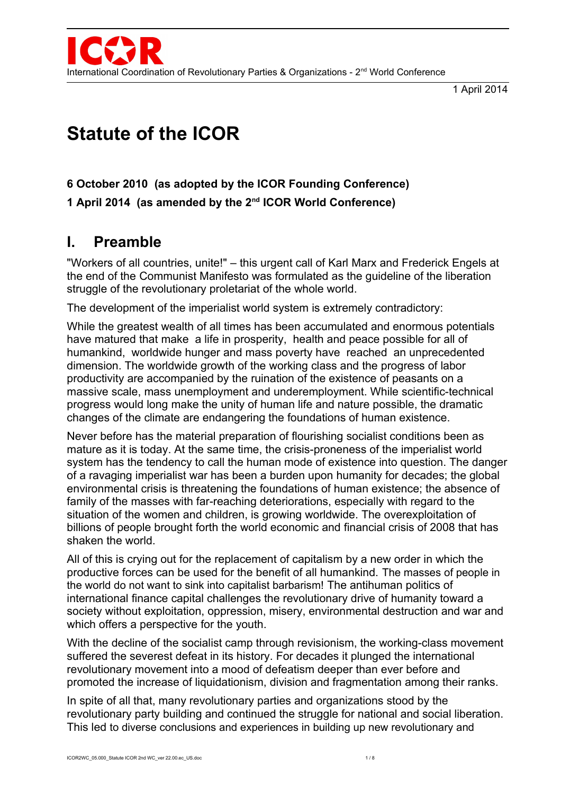

1 April 2014

# **Statute of the ICOR**

#### **6 October 2010 (as adopted by the ICOR Founding Conference)**

**1 April 2014 (as amended by the 2nd ICOR World Conference)**

## **I. Preamble**

"Workers of all countries, unite!" *–* this urgent call of Karl Marx and Frederick Engels at the end of the Communist Manifesto was formulated as the guideline of the liberation struggle of the revolutionary proletariat of the whole world.

The development of the imperialist world system is extremely contradictory:

While the greatest wealth of all times has been accumulated and enormous potentials have matured that make a life in prosperity, health and peace possible for all of humankind, worldwide hunger and mass poverty have reached an unprecedented dimension. The worldwide growth of the working class and the progress of labor productivity are accompanied by the ruination of the existence of peasants on a massive scale, mass unemployment and underemployment. While scientific-technical progress would long make the unity of human life and nature possible, the dramatic changes of the climate are endangering the foundations of human existence.

Never before has the material preparation of flourishing socialist conditions been as mature as it is today. At the same time, the crisis-proneness of the imperialist world system has the tendency to call the human mode of existence into question. The danger of a ravaging imperialist war has been a burden upon humanity for decades; the global environmental crisis is threatening the foundations of human existence; the absence of family of the masses with far-reaching deteriorations, especially with regard to the situation of the women and children, is growing worldwide. The overexploitation of billions of people brought forth the world economic and financial crisis of 2008 that has shaken the world.

All of this is crying out for the replacement of capitalism by a new order in which the productive forces can be used for the benefit of all humankind. The masses of people in the world do not want to sink into capitalist barbarism! The antihuman politics of international finance capital challenges the revolutionary drive of humanity toward a society without exploitation, oppression, misery, environmental destruction and war and which offers a perspective for the youth.

With the decline of the socialist camp through revisionism, the working-class movement suffered the severest defeat in its history. For decades it plunged the international revolutionary movement into a mood of defeatism deeper than ever before and promoted the increase of liquidationism, division and fragmentation among their ranks.

In spite of all that, many revolutionary parties and organizations stood by the revolutionary party building and continued the struggle for national and social liberation. This led to diverse conclusions and experiences in building up new revolutionary and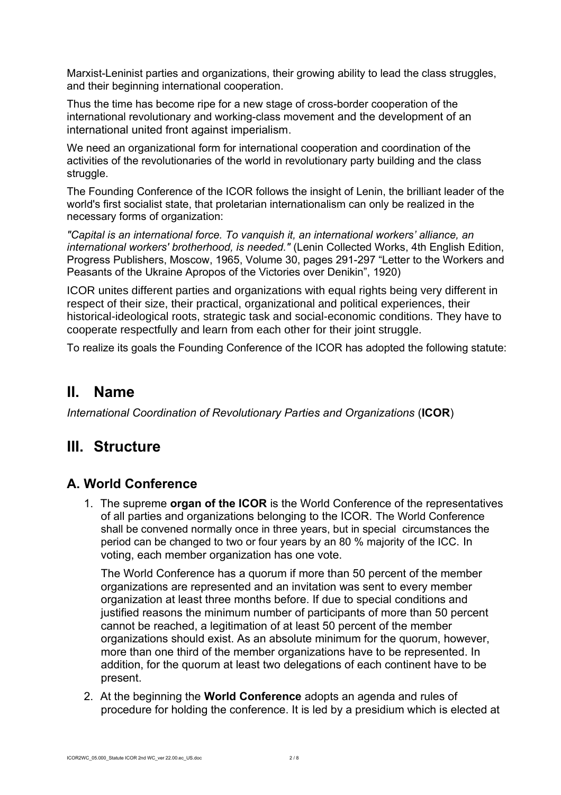Marxist-Leninist parties and organizations, their growing ability to lead the class struggles, and their beginning international cooperation.

Thus the time has become ripe for a new stage of cross-border cooperation of the international revolutionary and working-class movement and the development of an international united front against imperialism.

We need an organizational form for international cooperation and coordination of the activities of the revolutionaries of the world in revolutionary party building and the class struggle.

The Founding Conference of the ICOR follows the insight of Lenin, the brilliant leader of the world's first socialist state, that proletarian internationalism can only be realized in the necessary forms of organization:

*"Capital is an international force. To vanquish it, an international workers' alliance, an international workers' brotherhood, is needed."* (Lenin Collected Works, 4th English Edition, Progress Publishers, Moscow, 1965, Volume 30, pages 291-297 "Letter to the Workers and Peasants of the Ukraine Apropos of the Victories over Denikin", 1920)

ICOR unites different parties and organizations with equal rights being very different in respect of their size, their practical, organizational and political experiences, their historical-ideological roots, strategic task and social-economic conditions. They have to cooperate respectfully and learn from each other for their joint struggle.

To realize its goals the Founding Conference of the ICOR has adopted the following statute:

## **II. Name**

*International Coordination of Revolutionary Parties and Organizations* (**ICOR**)

## **III. Structure**

#### **A. World Conference**

1. The supreme **organ of the ICOR** is the World Conference of the representatives of all parties and organizations belonging to the ICOR. The World Conference shall be convened normally once in three years, but in special circumstances the period can be changed to two or four years by an 80 % majority of the ICC. In voting, each member organization has one vote.

The World Conference has a quorum if more than 50 percent of the member organizations are represented and an invitation was sent to every member organization at least three months before. If due to special conditions and justified reasons the minimum number of participants of more than 50 percent cannot be reached, a legitimation of at least 50 percent of the member organizations should exist. As an absolute minimum for the quorum, however, more than one third of the member organizations have to be represented. In addition, for the quorum at least two delegations of each continent have to be present.

2. At the beginning the **World Conference** adopts an agenda and rules of procedure for holding the conference. It is led by a presidium which is elected at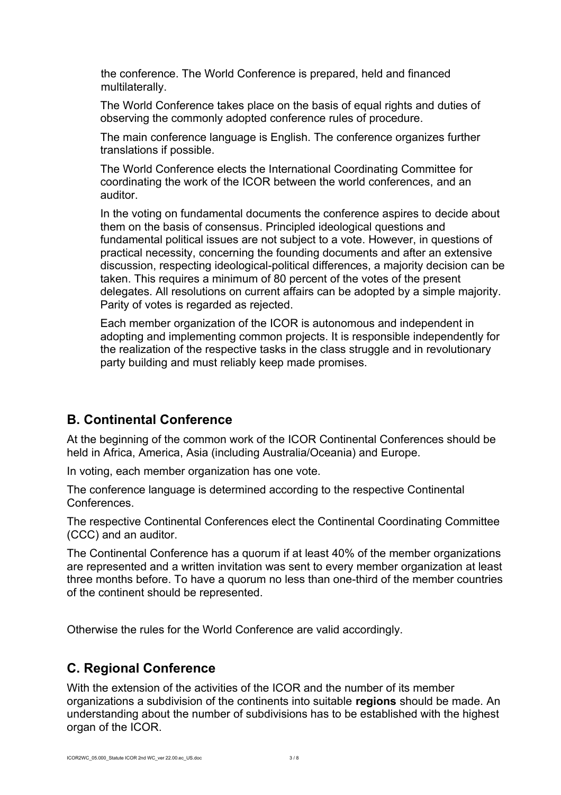the conference. The World Conference is prepared, held and financed multilaterally.

The World Conference takes place on the basis of equal rights and duties of observing the commonly adopted conference rules of procedure.

The main conference language is English. The conference organizes further translations if possible.

The World Conference elects the International Coordinating Committee for coordinating the work of the ICOR between the world conferences, and an auditor.

In the voting on fundamental documents the conference aspires to decide about them on the basis of consensus. Principled ideological questions and fundamental political issues are not subject to a vote. However, in questions of practical necessity, concerning the founding documents and after an extensive discussion, respecting ideological-political differences, a majority decision can be taken. This requires a minimum of 80 percent of the votes of the present delegates. All resolutions on current affairs can be adopted by a simple majority. Parity of votes is regarded as rejected.

Each member organization of the ICOR is autonomous and independent in adopting and implementing common projects. It is responsible independently for the realization of the respective tasks in the class struggle and in revolutionary party building and must reliably keep made promises.

#### **B. Continental Conference**

At the beginning of the common work of the ICOR Continental Conferences should be held in Africa, America, Asia (including Australia/Oceania) and Europe.

In voting, each member organization has one vote.

The conference language is determined according to the respective Continental Conferences.

The respective Continental Conferences elect the Continental Coordinating Committee (CCC) and an auditor.

The Continental Conference has a quorum if at least 40% of the member organizations are represented and a written invitation was sent to every member organization at least three months before. To have a quorum no less than one-third of the member countries of the continent should be represented.

Otherwise the rules for the World Conference are valid accordingly.

## **C. Regional Conference**

With the extension of the activities of the ICOR and the number of its member organizations a subdivision of the continents into suitable **regions** should be made. An understanding about the number of subdivisions has to be established with the highest organ of the ICOR.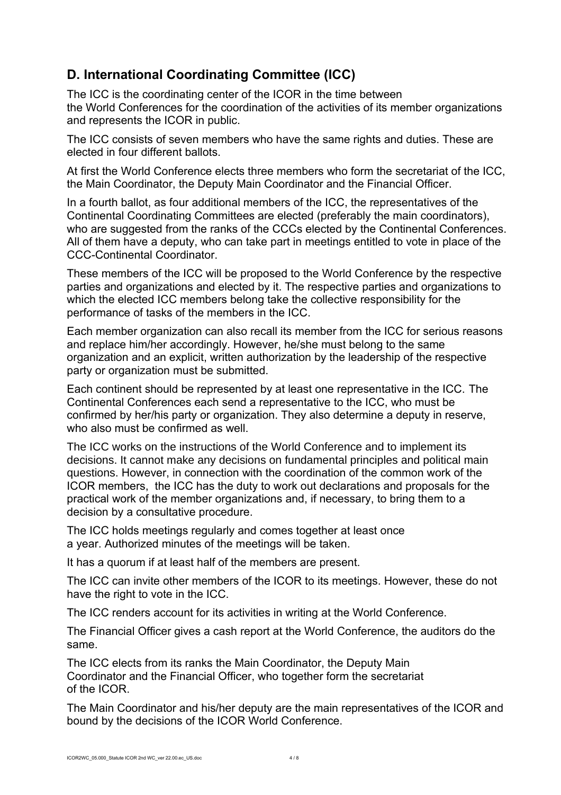## **D. International Coordinating Committee (ICC)**

The ICC is the coordinating center of the ICOR in the time between the World Conferences for the coordination of the activities of its member organizations and represents the ICOR in public.

The ICC consists of seven members who have the same rights and duties. These are elected in four different ballots.

At first the World Conference elects three members who form the secretariat of the ICC, the Main Coordinator, the Deputy Main Coordinator and the Financial Officer.

In a fourth ballot, as four additional members of the ICC, the representatives of the Continental Coordinating Committees are elected (preferably the main coordinators), who are suggested from the ranks of the CCCs elected by the Continental Conferences. All of them have a deputy, who can take part in meetings entitled to vote in place of the CCC-Continental Coordinator.

These members of the ICC will be proposed to the World Conference by the respective parties and organizations and elected by it. The respective parties and organizations to which the elected ICC members belong take the collective responsibility for the performance of tasks of the members in the ICC.

Each member organization can also recall its member from the ICC for serious reasons and replace him/her accordingly. However, he/she must belong to the same organization and an explicit, written authorization by the leadership of the respective party or organization must be submitted.

Each continent should be represented by at least one representative in the ICC. The Continental Conferences each send a representative to the ICC, who must be confirmed by her/his party or organization. They also determine a deputy in reserve, who also must be confirmed as well.

The ICC works on the instructions of the World Conference and to implement its decisions. It cannot make any decisions on fundamental principles and political main questions. However, in connection with the coordination of the common work of the ICOR members, the ICC has the duty to work out declarations and proposals for the practical work of the member organizations and, if necessary, to bring them to a decision by a consultative procedure.

The ICC holds meetings regularly and comes together at least once a year. Authorized minutes of the meetings will be taken.

It has a quorum if at least half of the members are present.

The ICC can invite other members of the ICOR to its meetings. However, these do not have the right to vote in the ICC.

The ICC renders account for its activities in writing at the World Conference.

The Financial Officer gives a cash report at the World Conference, the auditors do the same.

The ICC elects from its ranks the Main Coordinator, the Deputy Main Coordinator and the Financial Officer, who together form the secretariat of the ICOR.

The Main Coordinator and his/her deputy are the main representatives of the ICOR and bound by the decisions of the ICOR World Conference.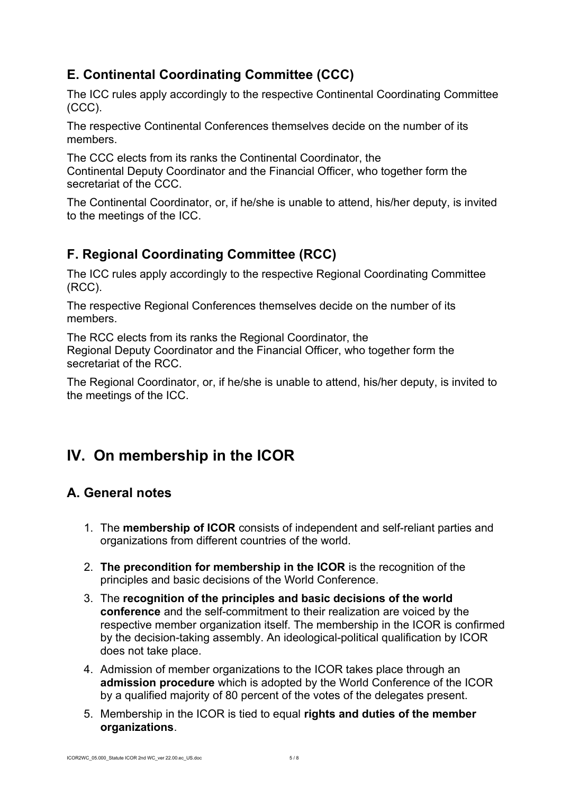## **E. Continental Coordinating Committee (CCC)**

The ICC rules apply accordingly to the respective Continental Coordinating Committee (CCC).

The respective Continental Conferences themselves decide on the number of its members.

The CCC elects from its ranks the Continental Coordinator, the Continental Deputy Coordinator and the Financial Officer, who together form the secretariat of the CCC.

The Continental Coordinator, or, if he/she is unable to attend, his/her deputy, is invited to the meetings of the ICC.

## **F. Regional Coordinating Committee (RCC)**

The ICC rules apply accordingly to the respective Regional Coordinating Committee (RCC).

The respective Regional Conferences themselves decide on the number of its members.

The RCC elects from its ranks the Regional Coordinator, the Regional Deputy Coordinator and the Financial Officer, who together form the secretariat of the RCC.

The Regional Coordinator, or, if he/she is unable to attend, his/her deputy, is invited to the meetings of the ICC.

# **IV. On membership in the ICOR**

## **A. General notes**

- 1. The **membership of ICOR** consists of independent and self-reliant parties and organizations from different countries of the world.
- 2. **The precondition for membership in the ICOR** is the recognition of the principles and basic decisions of the World Conference.
- 3. The **recognition of the principles and basic decisions of the world conference** and the self-commitment to their realization are voiced by the respective member organization itself. The membership in the ICOR is confirmed by the decision-taking assembly. An ideological-political qualification by ICOR does not take place.
- 4. Admission of member organizations to the ICOR takes place through an **admission procedure** which is adopted by the World Conference of the ICOR by a qualified majority of 80 percent of the votes of the delegates present.
- 5. Membership in the ICOR is tied to equal **rights and duties of the member organizations**.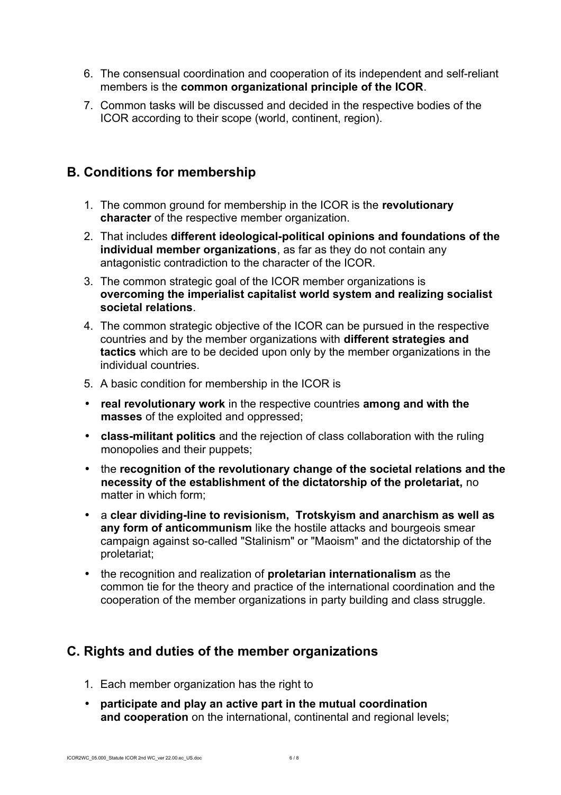- 6. The consensual coordination and cooperation of its independent and self-reliant members is the **common organizational principle of the ICOR**.
- 7. Common tasks will be discussed and decided in the respective bodies of the ICOR according to their scope (world, continent, region).

#### **B. Conditions for membership**

- 1. The common ground for membership in the ICOR is the **revolutionary character** of the respective member organization.
- 2. That includes **different ideological-political opinions and foundations of the individual member organizations**, as far as they do not contain any antagonistic contradiction to the character of the ICOR.
- 3. The common strategic goal of the ICOR member organizations is **overcoming the imperialist capitalist world system and realizing socialist societal relations**.
- 4. The common strategic objective of the ICOR can be pursued in the respective countries and by the member organizations with **different strategies and tactics** which are to be decided upon only by the member organizations in the individual countries.
- 5. A basic condition for membership in the ICOR is
- **real revolutionary work** in the respective countries **among and with the masses** of the exploited and oppressed;
- **class-militant politics** and the rejection of class collaboration with the ruling monopolies and their puppets;
- the **recognition of the revolutionary change of the societal relations and the necessity of the establishment of the dictatorship of the proletariat,** no matter in which form;
- a **clear dividing-line to revisionism, Trotskyism and anarchism as well as any form of anticommunism** like the hostile attacks and bourgeois smear campaign against so-called "Stalinism" or "Maoism" and the dictatorship of the proletariat;
- the recognition and realization of **proletarian internationalism** as the common tie for the theory and practice of the international coordination and the cooperation of the member organizations in party building and class struggle.

#### **C. Rights and duties of the member organizations**

- 1. Each member organization has the right to
- **participate and play an active part in the mutual coordination and cooperation** on the international, continental and regional levels;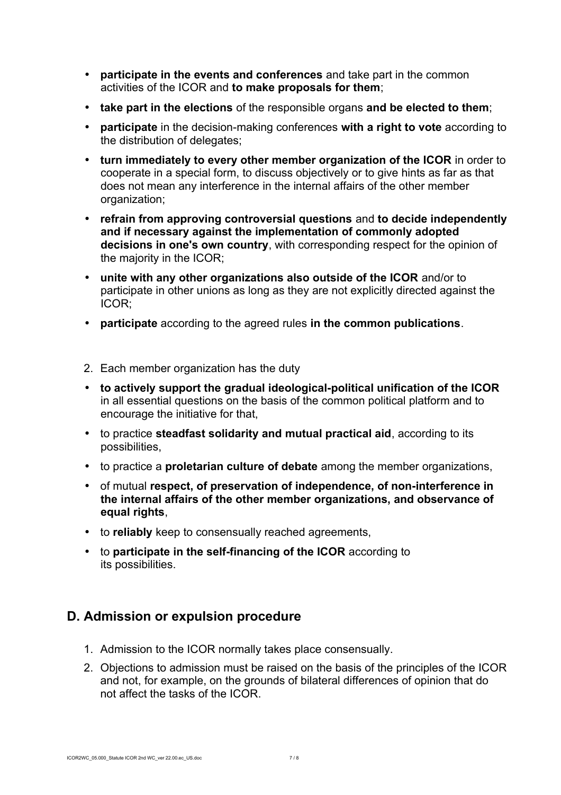- **participate in the events and conferences** and take part in the common activities of the ICOR and **to make proposals for them**;
- **take part in the elections** of the responsible organs **and be elected to them**;
- **participate** in the decision-making conferences **with a right to vote** according to the distribution of delegates;
- **turn immediately to every other member organization of the ICOR** in order to cooperate in a special form, to discuss objectively or to give hints as far as that does not mean any interference in the internal affairs of the other member organization;
- **refrain from approving controversial questions** and **to decide independently and if necessary against the implementation of commonly adopted decisions in one's own country**, with corresponding respect for the opinion of the majority in the ICOR;
- **unite with any other organizations also outside of the ICOR** and/or to participate in other unions as long as they are not explicitly directed against the ICOR;
- **participate** according to the agreed rules **in the common publications**.
- 2. Each member organization has the duty
- **to actively support the gradual ideological-political unification of the ICOR** in all essential questions on the basis of the common political platform and to encourage the initiative for that,
- to practice **steadfast solidarity and mutual practical aid**, according to its possibilities,
- to practice a **proletarian culture of debate** among the member organizations,
- of mutual **respect, of preservation of independence, of non-interference in the internal affairs of the other member organizations, and observance of equal rights**,
- to **reliably** keep to consensually reached agreements,
- to **participate in the self-financing of the ICOR** according to its possibilities.

#### **D. Admission or expulsion procedure**

- 1. Admission to the ICOR normally takes place consensually.
- 2. Objections to admission must be raised on the basis of the principles of the ICOR and not, for example, on the grounds of bilateral differences of opinion that do not affect the tasks of the ICOR.